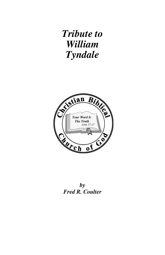*Tribute to William Tyndale* 



*by Fred R. Coulter*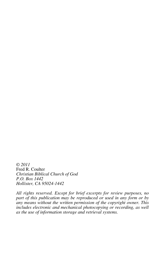*© 2011*  Fred R. Coulter *Christian Biblical Church of God P.O. Box 1442 Hollister, CA 95024-1442*

*All rights reserved. Except for brief excerpts for review purposes, no part of this publication may be reproduced or used in any form or by any means without the written permission of the copyright owner. This includes electronic and mechanical photocopying or recording, as well as the use of information storage and retrieval systems.*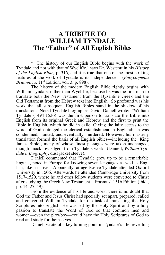# **A TRIBUTE TO WILLIAM TYNDALE The "Father" of All English Bibles**

" 'The history of our English Bible begins with the work of Tyndale and not with that of Wycliffe,' says Dr. Westcott in his *History of the English Bible,* p. 316, and it is true that one of the most striking features of the work of Tyndale is its independence" (*Encyclopedia Britannica*,  $11<sup>th</sup>$  Edition, vol. 3, p. 898).

The history of the modern English Bible rightly begins with William Tyndale, rather than Wycliffe, because he was the first man to translate both the New Testament from the Byzantine Greek and the Old Testament from the Hebrew text into English. So profound was his work that all subsequent English Bibles stand in the shadow of his translations. Noted Tyndale biographer David Daniell wrote: "William Tyndale (1494-1536) was the first person to translate the Bible into English from its original Greek and Hebrew and the first to print the Bible in English, which he did in exile. Giving the laity access to the word of God outraged the clerical establishment in England: he was condemned, hunted, and eventually murdered. However, his masterly translation formed the basis of all English bibles—including the 'King James Bible', many of whose finest passages were taken unchanged, though unacknowledged, from Tyndale's work" (Daniell, *William Tyndale a Biography*, dust jacket sleeve).

Daniell commented that "Tyndale grew up to be a remarkable linguist, noted in Europe for knowing seven languages as well as English, like a native." Apparently, at age twelve Tyndale attended Oxford University in 1506. Afterwards he attended Cambridge University from 1517-1520, where he and other fellow students were converted to Christ after studying the Greek New Testament—Erasmus' 1516 Edition (Ibid., pp. 14, 27, 49).

From the evidence of his life and work, there is no doubt that God the Father and Jesus Christ had specially set apart, prepared, called and converted William Tyndale for the task of translating the Holy Scriptures into English. He was led by the Holy Spirit and by a holy passion to translate the Word of God so that common men and women—even the plowboy—could have the Holy Scriptures of God to read and study for themselves.

Daniell wrote of a key turning point in Tyndale's life, revealing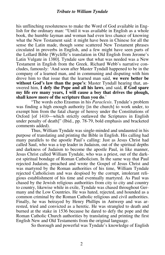his unflinching resoluteness to make the Word of God available in English for the ordinary man: "Until it was available in English as a whole book, the humble layman and woman had even less chance of knowing what the New Testament said: it might have been in Chinese for all the sense the Latin made, though some scattered New Testament phrases circulated in proverbs in English, and a few might have seen parts of the Lollard Bible [Wycliffe's translation in Old English from Jerome's Latin Vulgate in 1380]. Tyndale saw that what was needed was a New Testament in English from the Greek. Richard Webb's narrative concludes, famously: 'And soon after Master Tyndall happened to be in the company of a learned man, and in communing and disputing with him drove him to that issue that the learned man said, **we were better be without God's law than the pope's**: Master Tyndall hearing that, answered him, **I defy the Pope and all his laws**, and said, **if God spare my life ere many years, I will cause a boy that drives the plough, shall know more of the scripture than you do**.'

 "The words echo Erasmus in his *Paraclesis*. Tyndale's problem was finding a high enough authority [in the church] to work under, to exempt him from the fatal charge of heresy under the Constitutions of Oxford [of 1410—which strictly outlawed the Scriptures in English under penalty of death]" (Ibid., pp. 78-79, bold emphasis and bracketed comments added).

 Thus, William Tyndale was single-minded and undaunted in his purpose of translating and printing the Bible in English. His calling had many parallels to the apostle Paul's calling: Just as Jesus Christ had called Saul, who was a top leader in Judaism, out of the spiritual depths and darkness of Judaism to become the apostle Paul, in like manner, Jesus Christ called William Tyndale, who was a priest, out of the darkest spiritual bondage of Roman Catholicism. In the same way that Paul rejected Judaism, preached and wrote the Gospel of Jesus Christ and was martyred by the Roman authorities of his time, William Tyndale rejected Catholicism and was despised by the corrupt, intolerant religious establishment of his time and eventually martyred. As Paul was chased by the Jewish religious authorities from city to city and country to country, likewise while in exile, Tyndale was chased throughout Germany and the Low Countries. He was hated, rejected, and hounded as a common criminal by the Roman Catholic religious and civil authorities. Finally, he was betrayed by Henry Phillips in Antwerp and was arrested, tried and convicted as a heretic. He was strangled to death and burned at the stake in 1536 because he dared to defy the pope and the Roman Catholic Church authorities by translating and printing the first English New and Old Testaments from the original language.

So thorough and powerful was Tyndale's knowledge of English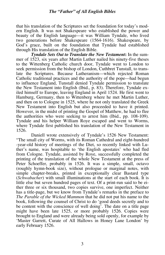that his translation of the Scriptures set the foundation for today's modern English. It was not Shakespeare who established the power and beauty of the English language—it was William Tyndale, who lived two generations before Shakespeare (1564-1616). Shakespeare, by God's grace, built on the foundation that Tyndale had established through His translation of the English Bible.

*Tyndale Sets Out to Translate the New Testament***:** In the summer of 1523, six years after Martin Luther nailed his ninety-five theses to the Wittenberg Catholic church door, Tyndale went to London to seek permission from the bishop of London, Cuthbret Tunstall, to translate the Scriptures. Because Lutheranism—which rejected Roman Catholic traditional practices and the authority of the pope—had begun to influence England, Tunstall denied Tyndale permission to translate the New Testament into English (Ibid., p. 83). Therefore, Tyndale exiled himself to Europe, leaving England in April 1524. He first went to Hamburg, Germany, then to Wittenberg where he met Martin Luther, and then on to Cologne in 1525, where he not only translated the Greek New Testament into English but also proceeded to have it printed. However, in the midst of printing the Gospel of Matthew, he had to flee the authorities who were seeking to arrest him (Ibid., pp. 108-109). Tyndale and his helper William Roye escaped and went to Worms, where Tyndale first published his translation of the New Testament in 1526.

 Daniell wrote extensively of Tyndale's 1526 New Testament: "The small city of Worms, with its Roman Cathedral and eight-hundred -year-old history of meetings of the Diet, so recently linked with Luther's name, was hospitable to 'the English apostates' who had fled from Cologne. Tyndale, assisted by Roye, successfully completed the printing of the translation of the whole New Testament at the press of Peter Schoeffer, probably in 1526. It was a simple, small, octavo (roughly hymn-book size), without prologue or marginal notes, with simple chapter-breaks, printed in exceptionally clear Bastard type (*Schwabacher*) with small illuminations at the start of each book. It is little else but seven hundred pages of text. Of a print-run said to be either three or six thousand, two copies survive, one imperfect. Neither has a title-page, but we know from Tyndale's remarks in the preface to *The Parable of the Wicked Mammon* that he did not put his name to the book, following the counsel of Christ to do 'good deeds secretly and to be content with the conscience of well doing'. The date on a title page might have been late 1525, or more probably 1526. Copies were brought to England and were already being sold openly, for example by 'Master Garrett, Curate of All Hallows in Honey Lane London' by early February 1526.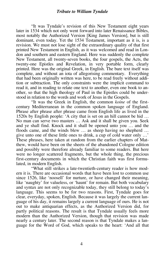"It was Tyndale's revision of this New Testament eight years later in 1534 which not only went forward into later Renaissance Bibles, most notably the Authorized Version [King James Version], but is still dominant, even today. Yet the 1534 Testament, important as it is, is a revision. We must not lose sight of the extraordinary quality of that first printed New Testament in English, as it was welcomed and read in London and southern and eastern England. Here was suddenly the complete New Testament, all twenty-seven books, the four gospels, the Acts, the twenty-one Epistles and Revelation, in very portable form, clearly printed. Here was the original Greek, in English. The bare text itself was complete, and without an iota of allegorising commentary. Everything that had been originally written was here, to be read freely without addition or subtraction. The only constraints were the implicit command to read it, and in reading to relate one text to another, even one book to another, so that the high theology of Paul in the Epistles could be understood in relation to the words and work of Jesus in the Gospels.

 "It was the Greek in English, the common *koine* of the firstcentury Mediterranean in the common spoken language of England. Phrase after phrase after phrase came from English life as lived in the 1520s by English people: 'A city that is set on an hill cannot be hid … No man can serve two masters … Ask and it shall be given you. Seek and ye shall find. Knock and it shall be opened unto you … and the floods came, and the winds blew … as sheep having no shepherd … give unto one of these little ones to drink, a cup of cold water only …' These phrases, here taken at random from the earlier chapters of Matthew, would have been on the sheets of the abandoned Cologne edition and possibly were therefore already familiar to some readers. But here were no longer scattered fragments, but the whole thing, the precious first-century documents in which the Christian faith was first formulated, in modern English.

 "What still strikes a late-twentieth-century reader is how modern it is. There are occasional words that have been lost to common use since 1526, like 'noosell' for nurture, or have changed their meaning, like 'naughty' for valueless, or 'haunt' for remain. But both vocabulary and syntax are not only recognizable today, they still belong to today's language. This seems to be for two reasons. First, Tyndale goes for clear, everyday, spoken, English. Because it was largely the current language of his day, it remains largely a current language of ours. He is not out to make antiquarian effects, as the Authorized Version did, for partly political reasons. The result is that Tyndale usually feels more modern than the Authorized Version, though that revision was made nearly a century later. The second reason is that Tyndale makes a language for the Word of God, which speaks to the heart: 'And all that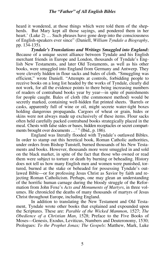heard it wondered, at those things which were told them of the shepherds. But Mary kept all those sayings, and pondered them in her heart.' (Luke 2) ... Such phrases have gone deep into the consciousness of English-speakers ever since" (Daniell, *William Tyndale a Biography*, pp. 134-135).

*Tyndale's Translations and Writings Smuggled into England***:** Because of a unique secret alliance between Tyndale and his English merchant friends in Europe and London, thousands of Tyndale's English New Testaments, and later Old Testaments, as well as his other books, were smuggled into England from Germany and Antwerp. They were cleverly hidden in flour sacks and bales of cloth. "Smuggling was efficient," wrote Daniell. "Attempts at controls, forbidding people to receive books on a long list headed by the works of Tyndale, clearly did not work, for all the evidence points to there being increasing numbers of readers of contraband books year by year—in spite of punishments for people caught. Bales of cloth (the commonest method) would be secretly marked, containing well-hidden flat printed sheets. 'Barrels or casks, apparently full of wine or oil, might secrete water-tight boxes holding dangerous propaganda. Cargoes of wheat or grain, hides or skins were not always made up exclusively of these items. Flour sacks often held carefully packed contraband books strategically placed in the meal. Chests with false sides or bases, hidden receptacles or secret compartments brought over documents ...' " (Ibid., p. 186).

 England was literally flooded with Tyndale's outlawed Bibles. In order to stamp out this heretical book, Roman Catholic authorities, under orders from Bishop Tunstell, burned thousands of his New Testaments and books. However, thousands more were smuggled in and sold on the black market, in spite of the fact that those who owned or read them were subject to torture or death by burning or beheading. History does not tell us how many English men and women were punished, tortured, burned at the stake or beheaded for possessing Tyndale's outlawed Bible—or for professing Jesus Christ as Savior by faith and rejecting Roman Catholicism. Perhaps, one may glean an understanding of the horrific human carnage during the bloody struggle of the Reformation from John Foxe's *Acts and Monuments of Martyrs*, in three volumes. He chronicled the deaths of many thousands of martyrs of Jesus Christ throughout Europe, including England.

 In addition to translating the New Testament and Old Testament, Tyndale wrote other books that explained and expounded upon the Scriptures. These are: *Parable of the Wicked Mammon*, 1527; *The Obedience of a Christian Man*, 1528; Preface to the Five Books of Moses—Genesis, Exodus, Leviticus, Numbers and Deuteronomy, 1530; Prologues: *To the Prophet Jonas; The Gospels*: Matthew, Mark, Luke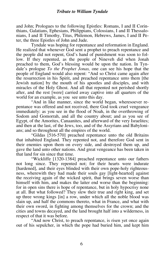and John; Prologues to the following Epistles: Romans, I and II Corinthians, Galatians, Ephesians, Philippians, Colossians, I and II Thessalonians, I and II Timothy, Titus, Philemon, Hebrews, James, I and II Peter, the three Epistles of John and Jude.

 Tyndale was hoping for repentance and reformation in England. He realized that whenever God sent a prophet to preach repentance and the people did not repent, God's hand of punishment was soon to follow. If they repented, as the people of Nineveh did when Jonah preached to them, God's blessing would be upon the nation. In Tyndale's prologue *To the Prophet Jonas,* one can see his hope that the people of England would also repent: "And so Christ came again after the resurrection in his Spirit, and preached repentance unto them [the Jewish nation] by the mouth of his apostles and disciples, and with miracles of the Holy Ghost. And all that repented not perished shortly after, and the rest [were] carried away captive into all quarters of the world for an example, as you see unto this day.

 "And in like manner, since the world began, wheresoever repentance was offered and not received, there God took cruel vengeance immediately: as you see in the flood of Noah, in the overthrowing of Sodom and Gomorrah, and all the country about; and as you see of Egypt, of the Amorites, Canaanites, and afterward of the very Israelites; and then at the last, of the Jews, too, and of the Assyrians and Babylonians; and so throughout all the empires of the world.

 "Gildas [516-570] preached repentance unto the old Britains that inhabited England. They repented not, and therefore God sent in their enemies upon them on every side, and destroyed them up, and gave the land unto other nations. And great vengeance has been taken in that land for sin since that time.

 "Wickliffe [1320-1384] preached repentance unto our fathers not long since. They repented not; for their hearts were indurate [hardened], and their eyes blinded with their own pope-holy righteousness, wherewith they had made their souls gay [light-hearted] against the receiving again of the wicked spirit, that brings seven worse than himself with him, and makes the latter end worse than the beginning: for in open sins there is hope of repentance, but in holy hypocrisy none at all. But what followed? They slew their true and right king, and set up three wrong kings [in] a row, under which all the noble blood was slain up, and half the commons thereto, what in France, and what with their own sword, in fighting among themselves for the crown; and the cities and towns decayed, and the land brought half into a wilderness, in respect of that it was before.

 "And now Christ, to preach repentance, is risen yet once again out of his sepulcher, in which the pope had buried him, and kept him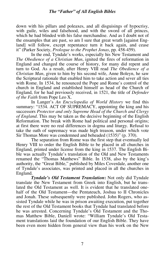down with his pillars and poleaxes, and all disguisings of hypocrisy, with guile, wiles and falsehood, and with the sword of all princes, which he had blinded with his false merchandise. And as I doubt not of the ensamples that are past, so am I sure that great wrath [against England] will follow, except repentance turn it back again, and cease it" (Parker Society, *Prologue to the Prophet Jonas*, pp. 458-459).

 In the end, Tyndale's works, especially his New Testament and *The Obedience of a Christian Man*, ignited the fires of reformation in England and changed the course of history, for many did repent and turn to God. As a result, after Henry VIII read *The Obedience of a Christian Man*, given to him by his second wife, Anne Boleyn, he saw the Scriptural rationale that enabled him to take action and sever all ties with Rome. In 1534, he renounced the Pope and Rome's control of the church in England and established himself as head of the Church of England, for he had previously received, in 1521, the title of *Defender of the Faith* from Pope Leo X.

 In Langer's *An Encyclopedia of World History* we find this summary: "1534. ACT OF SUPREMACY, appointing the king and his successors *Protector and only Supreme Head of the Church and Clergy of England*. This may be taken as the decisive beginning of the English Reformation. The break with Rome had political and personal origins; at first there were no real differences in dogma and liturgy. Refusal to take the oath of supremacy was made high treason, under which vote Sir Thomas More was condemned and beheaded (1535)" (p. 370).

 The separation from Rome was the first step that eventually led Henry VIII to order the English Bible to be placed in all churches in England, printed under license from the king in 1537. The English Bible was actually Tyndale's translation of the Old and New Testaments renamed the "Thomas Matthews" Bible. In 1538, also by the king's authority, the "Great Bible," published by Miles Coverdale, another one of Tyndale's associates, was printed and placed in all the churches in England.

*Tyndale's Old Testament Translation***:** Not only did Tyndale translate the New Testament from Greek into English, but he translated the Old Testament as well. It is evident that he translated onehalf of the Old Testament—the Pentateuch, Joshua to II Chronicles and Jonah. These subsequently were published. John Rogers, who assisted Tyndale while he was in prison awaiting execution, put together the rest of the Old Testament books that Tyndale had translated before he was arrested. Concerning Tyndale's Old Testament and the Thomas Matthew Bible, Daniell wrote: "William Tyndale's Old Testament translations laid the foundation of our English Bible. They have been even more hidden from general view than his work on the New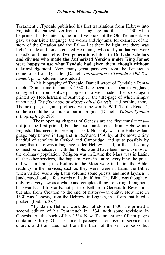Testament….Tyndale published his first translations from Hebrew into English—the earliest ever from that language into this—in 1530, when he printed his Pentateuch, the first five books of the Old Testament. He gave us our Bible language: the words and rhythms, for example, of the story of the Creation and the Fall—'Let there be light and there was light', 'male and female created He them', 'who told you that you were naked?' and much else. **Two generations later, in 1611, the scholars and divines who made the Authorized Version under King James were happy to use what Tyndale had given them, though without acknowledgement**. Very many great passages from the Pentateuch come to us from Tyndale" (Daniell, *Introduction* to *Tyndale's Old Testament*, p. ix, bold emphasis added).

 In his biography of Tyndale, Daniell wrote of Tyndale's Pentateuch: "Some time in January 1530 there began to appear in England, smuggled in from Antwerp, copies of a well-made little book, again printed by Hoochstraten of Antwerp … the title-page of which simply announced *The first book of Moses called Genesis*, and nothing more. The next page began a prologue with the words 'W.T. To the Reader'; so there could be no doubt about its origins" (Daniell, *William Tyndale a Biography*, p. 283).

 "These opening chapters of Genesis are the first translations not just the first printed, but the first translations—from Hebrew into English. This needs to be emphasized. Not only was the Hebrew language only known in England in 1529 and 1530 by, at the most, a tiny handful of scholars in Oxford and Cambridge, and quite possibly by none; that there was a language called Hebrew at all, or that it had any connection whatsoever with the Bible, would have been news to most of the ordinary population. Religion was in Latin: the Mass was in Latin; all the other services, like baptism, were in Latin; everything the priest did was in Latin; the Psalms in the Mass were in Latin; the Biblereadings in the services, such as they were, were in Latin; the Bible, when visible, was a big Latin volume; some priests, and most laymen ... [understood] only a few words of Latin, if that. The Bible was thought of only by a very few as a whole and complete thing, referring throughout, backwards and forwards, not just to itself from Genesis to Revelation, but also from Creation to the end of history—an entity. Now here in 1530 was Genesis, from the Hebrew, in English, in a form that fitted a pocket" (Ibid., p. 287).

 "Tyndale's Hebrew work did not stop in 1530. He printed a second edition of his Pentateuch in 1534, with some revisions in Genesis. At the back of his 1534 New Testament are fifteen pages containing forty Old Testament passages, for use in services in church, and translated not from the Latin of the service-books but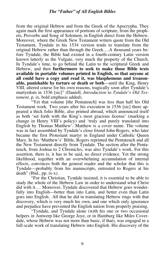from the original Hebrew and from the Greek of the Apocrypha. They again mark the first appearance of portions of scripture, from the prophets, Proverbs and Song of Solomon, in English direct from the Hebrew. Moreover, where the Greek New Testament writers quote from the Old Testament, Tyndale in his 1534 version tends to translate from the original Hebrew rather than through the Greek….A thousand years before Tyndale, the Bible had existed in a fourth-century Latin version known latterly as the Vulgate, very much the property of the Church. In Tyndale's time, to go behind the Latin to the scriptural Greek and Hebrew, and then **furthermore to seek to make those Bible texts available in portable volumes printed in English, so that anyone at all could have a copy and read it, was blasphemous and treasonable, punishable by torture or death or both**—until the King, Henry VIII, altered course for his own reasons, tragically soon after Tyndale's martyrdom in 1536 [sic]" (Daniell, *Introduction* to *Tyndale's Old Testament*, p. ix, bold emphasis added).

 "Yet that volume [the Pentateuch] was less than half his Old Testament work. Two years after his execution in 1536 [sic] there appeared a thick folio Bible, also printed abroad, which announced itself as both 'set forth with the King's most gracious license' (marking a change in Henry VIII's policy) and 'truly and purely translated into English by Thomas Matthew'. Matthew is a cover name. The volume was in fact assembled by Tyndale's close friend John Rogers, who later became the first Protestant martyr in England under Catholic Queen Mary. In his 'Matthew's' Bible, Rogers reprinted the Pentateuch and all the New Testament directly from Tyndale. The section after the Pentateuch, from Joshua to 2 Chronicles, was also Tyndale's work. For this assertion, there is, it has to be said, no direct evidence. Yet the strong likelihood, together with an overwhelming accumulation of internal effects, convinces both the general reader and the scholar that this is Tyndale—probably from his manuscripts, entrusted to Rogers at his  $death$ " (Ibid., pp. ix-x).

 "For the Christian, Tyndale insisted, it is essential to be able to study the whole of the Hebrew Law in order to understand what Christ did with it…. Moreover, Tyndale discovered that Hebrew goes wonderfully into English—better than into Latin, and better even than Latin goes into English. All that he did in translating Hebrew rings with that discovery, which is very much his own, and one which only ignorance and prejudice have prevented the English nation from properly praising.

 "Tyndale, and Tyndale alone (with his one or two occasional helpers in Antwerp like George Joye, or in Hamburg like Miles Coverdale, whose Hebrew was not more than basic, if that), was engaged in a full-scale work of translating Hebrew into English. His discovery of the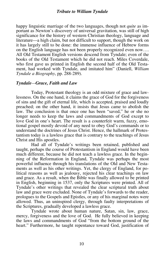happy linguistic marriage of the two languages, though not *quite* as important as Newton's discovery of universal gravitation, was still of high significance for the history of western Christian theology, language and literature—a high claim, but not difficult to support, though the work on it has largely still to be done: the immense influence of Hebrew forms on the English language has not been properly recognized even now…. All Old Testament English versions descend from Tyndale; even of the books of the Old Testament which he did not reach. Miles Coverdale, who first gave us printed in English the second half of the Old Testament, had worked with Tyndale, and imitated him" (Daniell, *William Tyndale a Biography*, pp. 288-289).

# *Tyndale—Grace, Faith and Law*

 Today, Protestant theology is an odd mixture of grace and lawlessness. On the one hand, it claims the grace of God for the forgiveness of sins and the gift of eternal life, which is accepted, praised and loudly preached; on the other hand, it insists that Jesus came to abolish the law. The conclusion is that once one has been "saved," he or she no longer needs to keep the laws and commandments of God except to love God in one's heart. The result is a counterfeit warm, fuzzy, emotional gospel mostly devoid of any need to obey God's commands or to understand the doctrines of Jesus Christ. Hence, the hallmark of Protestantism today is a lawless grace that is contrary to the teachings of Jesus Christ and His apostles.

 Had all of Tyndale's writings been retained, published and taught, perhaps the course of Protestantism in England would have been much different, because he did not teach a lawless grace. In the beginning of the Reformation in England, Tyndale was perhaps the most powerful influence through his translations of the Old and New Testaments as well as his other writings. Yet, the clergy of England, for political reasons as well as jealousy, rejected his clear teachings on law and grace. As a result, when the Bible was finally allowed to be printed in English, beginning in 1537, only the Scriptures were printed. All of Tyndale's other writings that revealed the clear scriptural truth about law and grace were excluded. None of Tyndale's forwards to the reader, prologues to the Gospels and Epistles, or any of his marginal notes were allowed. Thus, an uninspired clergy, through faulty interpretations of the Scriptures, gradually developed a lawless grace.

 Tyndale wrote about human nature, Satan, sin, law, grace, mercy, forgiveness and the love of God. He fully believed in keeping the laws and commandments of God "from the bottom ground of the heart." Furthermore, he taught repentance toward God, justification of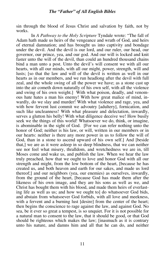sin through the blood of Jesus Christ and salvation by faith, not by works.

 In *A Pathway to the Holy Scripture* Tyndale wrote: "The fall of Adam hath made us heirs of the vengeance and wrath of God, and heirs of eternal damnation; and has brought us into captivity and bondage under the devil. And the devil is our lord, and our ruler, our head, our governor, our prince, yea, and our god. And our will is locked and knit faster unto the will of the devil, than could an hundred thousand chains bind a man unto a post. Unto the devil's will consent we with all our hearts, with all our minds, with all our might, power, strength, will and lusts; [so that the law and will of the devil is written as well in our hearts as in our members, and we run headlong after the devil with full zeal, and the whole swing of all the power we have; as a stone cast up into the air cometh down naturally of his own self, with all the violence and swing of his own weight.] With what poison, deadly, and venomous hate hates a man his enemy! With how great malice of mind, inwardly, do we slay and murder! With what violence and rage, yea, and with how fervent lust commit we advoutry [adultery], fornication, and such like uncleanness! With what pleasure and delectation, inwardly, serves a glutton his belly! With what diligence deceive we! How busily seek we the things of this world! Whatsoever we do, think, or imagine, is abominable in the sight of God. [For we can refer nothing unto the honor of God; neither is his law, or will, written in our members or in our hearts: neither is there any more power in us to follow the will of God, than in a stone to ascend upward of his own self.] And [beside that,] we are as it were asleep in so deep blindness, that we can neither see nor feel what misery, thralldom, and wretchedness we are in, till Moses come and wake us, and publish the law. When we hear the law truly preached, how that we ought to love and honor God with all our strength and might, from the low bottom of the heart, [because he has created us, and both heaven and earth for our sakes, and made us lord thereof;] and our neighbors (yea, our enemies) as ourselves, inwardly, from the ground of the heart, [because God has made them after the likeness of his own image, and they are his sons as well as we, and Christ has bought them with his blood, and made them heirs of everlasting life as well as us; and how we ought to] do whatsoever God bids, and abstain from whatsoever God forbids, with all love and meekness, with a fervent and a burning lust [desire] from the center of the heart; then begins the conscience to rage against the law, and against God. No sea, be it ever so great a tempest, is so unquiet. For it is not possible for a natural man to consent to the law, that it should be good, or that God should be righteous which makes the law; [inasmuch as it is contrary unto his nature, and damns him and all that he can do, and neither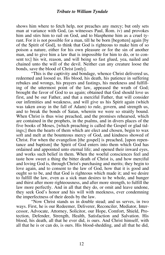shows him where to fetch help, nor preaches any mercy; but only sets man at variance with God, (as witnesses Paul, Rom. iv) and provokes him and stirs him to rail on God, and to blaspheme him as a cruel tyrant. For it is not possible for a man, till he be born [begotten] again [by of the Spirit of God], to think that God is righteous to make him of so poison a nature, either for his own pleasure or for the sin of another man, and to give him a law that is impossible for him to do, or to consent to;] his wit, reason, and will being so fast glued, yea, nailed and chained unto the will of the devil. Neither can any creature loose the bonds, save the blood of Christ [only].

 "This is the captivity and bondage, whence Christ delivered us, redeemed and loosed us. His blood, his death, his patience in suffering rebukes and wrongs, his prayers and fastings, his meekness and fulfilling of the uttermost point of the law, appeased the wrath of God; brought the favor of God to us again; obtained that God should love us first, and be our Father, and that a merciful Father, that will consider our infirmities and weakness, and will give us his Spirit again (which was taken away in the fall of Adam) to rule, govern, and strength us, and to break the bonds of Satan, wherein we were so straitly bound. When Christ is thus wise preached, and the promises rehearsed, which are contained in the prophets, in the psalms, and in divers places of the five books of Moses, [which preaching is called the Gospel or glad tidings;] then the hearts of them which are elect and chosen, begin to wax soft and melt at the bounteous mercy of God, and kindness showed of Christ. For when the evangelion [the gospel] is preached, [upon repentance and baptism] the Spirit of God enters into them which God has ordained and appointed unto eternal life; and opened their inward eyes, and works such belief in them. When the woeful consciences feel and taste how sweet a thing the bitter death of Christ is, and how merciful and loving God is, through Christ's purchasing and merits; they begin to love again, and to consent to the law of God, how that it is good and ought so to be, and that God is righteous which made it; and we desire to fulfill the law, even as a sick man desires to be whole, and hunger and thirst after more righteousness, and after more strength, to fulfill the law more perfectly. And in all that they do, or omit and leave undone, they seek God's honor and his will with meekness, ever condemning the imperfectness of their deeds by the law.

 "Now Christ stands us in double stead; and us serves, in two ways. First, he is our Redeemer, Deliverer, Reconciler, Mediator, Intercessor, Advocate, Attorney, Solicitor, our Hope, Comfort, Shield, Protection, Defender, Strength, Health, Satisfaction and Salvation. His blood, his death, all that he ever did, is ours. And Christ himself, with all that he is or can do, is ours. His blood-shedding, and all that he did,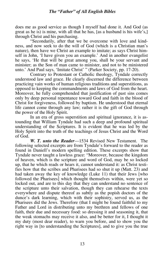does me as good service as though I myself had done it. And God (as great as he is) is mine, with all that he has, [as a husband is his wife's,] through Christ and his purchasing.

 "Secondarily, after that we be overcome with love and kindness, and now seek to do the will of God (which is a Christian man's nature), then have we Christ an example to imitate; as says Christ himself in John, 'I have given you an example.' And in another evangelist he says, 'He that will be great among you, shall be your servant and minister; as the Son of man came to minister, and not to be ministered unto.' And Paul says, 'Imitate Christ' " (Parker Society, pp. 17-20).

 Contrary to Protestant or Catholic theology, Tyndale correctly understood law and grace. He clearly discerned the difference between practicing vain works of human religious traditions and superstitions, as opposed to keeping the commandments and laws of God from the heart. Moreover, he fully comprehended that justification of past sins comes only by deep personal repentance toward God and faith in the blood of Christ for forgiveness, followed by baptism. He understood that eternal life cannot come through any law; rather it is the gift of God through the power of the Holy Spirit.

 In an era of gross superstition and spiritual ignorance, it is astounding that William Tyndale had such a deep and profound spiritual understanding of the Scriptures. It is evident that he was led by the Holy Spirit into the truth of the teachings of Jesus Christ and the Word of God.

*W. T. unto the Reader*—1534 Revised New Testament. The following selected excerpts are from Tyndale's forward to the reader as found in Daniell's modern spelling edition. These excerpts show that Tyndale never taught a lawless grace: "Moreover, because the kingdom of heaven, which is the scripture and word of God, may be so locked up, that he which reads or hears it, cannot understand it: as Christ testifies how that the scribes and Pharisees had so shut it up (Matt. 23) and had taken away the key of knowledge (Luke 11) that their Jews [who followed the Pharisees] which thought themselves within, were yet so locked out, and are to this day that they can understand no sentence of the scripture unto their salvation, though they can rehearse the texts everywhere and dispute thereof as subtly as the popish doctors of the dunce's dark learning, which with their sophistry, served us, as the Pharisees did the Jews. Therefore (that I might be found faithful to my Father and Lord in distributing unto my brethren and fellows of one faith, their due and necessary food: so dressing it and seasoning it, that the weak stomachs may receive it also, and be better for it, I thought it my duty (most dear reader), to warn you before, and to show you the right way in [to understanding the Scriptures], and to give you the true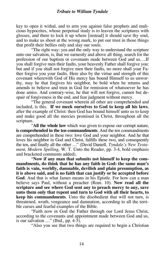key to open it withal, and to arm you against false prophets and malicious hypocrites, whose perpetual study is to leaven the scriptures with glosses, and there to lock it up where [instead] it should save thy soul, and to make us shoot at the wrong mark, to put our trust in those things that profit their bellies only and slay our souls.

 "The right way: yea and the only way to understand the scripture unto our salvation, is, that we earnestly and above all thing, search for the profession of our baptism or covenants made between God and us….If you shall forgive men their faults, your heavenly Father shall forgive you: but and if you shall not forgive men their faults, no more shall your Father forgive you your faults. Here also by the virtue and strength of this covenant wherewith God of His mercy has bound Himself to us unworthy, may he that forgives his neighbor, be bold when he returns and amends to believe and trust in God for remission of whatsoever he has done amiss. And contrary-wise, he that will not forgive, cannot but despair of forgiveness in the end, and fear judgment without mercy.

 "The general covenant wherein all other are comprehended and included, is this. **If we meek ourselves to God to keep all his laws**, after the example of Christ: then God has bound himself unto us to keep and make good all the mercies promised in Christ, throughout all the scripture.

 "**All the whole law** which was given to expose our corrupt nature, **is comprehended in the ten commandments**. And the ten commandments are comprehended in these two: love God and your neighbor. And he that loves his neighbor in God and Christ, fulfills these two, and consequently the ten, and finally all the other …" (David Daniell, *Tyndale's New Testament, Modern Spelling,* W. T. Unto the Reader, pp. 3-4, bold emphasis and bracketed comments added).

"**Now if any man that submits not himself to keep the commandments, do think that he has any faith in God: the same man's faith is vain, worldly, damnable, devilish and plain presumption, as it is above said, and is no faith that can justify or be accepted before God**. And that is what James means in his Epistle. For how can a man believe says Paul, without a preacher (Rom. 10). **Now read all the scripture and see where God sent any to preach mercy to any, save unto them only that repent and turn to God with all their hearts, to keep his commandments**. Unto the disobedient that will not turn, is threatened, wrath, vengeance and damnation, according to all the terrible curses and fearful examples of the Bible.

 "Faith now in God the Father through our Lord Jesus Christ, according to the covenants and appointment made between God and us, is our salvation  $\ldots$ " (Ibid., pp. 4-5).

"Also you see that two things are required to begin a Christian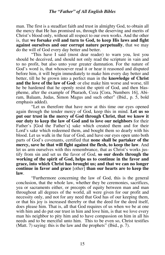man. The first is a steadfast faith and trust in almighty God, to obtain all the mercy that He has promised us, through the deserving and merits of Christ's blood only, without all respect to our own works. And the other is, that **we forsake evil and turn to God, to keep His laws and fight against ourselves and our corrupt nature perpetually**, that we may do the will of God every day better and better.

 "This have I said (most dear reader) to warn you, lest you should be deceived, and should not only read the scripture in vain and to no profit, but also unto your greater damnation. For the nature of God's word is, that whosoever read it or hear it reasoned and disputed before him, it will begin immediately to make him every day better and better, till he be grown into a perfect man in the **knowledge of Christ and the love of the law of God**: or else make him worse and worse, till he be hardened that he openly resist the spirit of God, and then blaspheme, after the example of Pharaoh, Coza [Cora, Numbers 16], Abiram, Balaam, Judas, Simon Magus and such other" (Ibid., p. 5, bold emphasis added).

 "Let us therefore that have now at this time our eyes opened again through the tender mercy of God, keep this in mind. **Let us so put our trust in the mercy of God through Christ, that we know it our duty to keep the law of God and to love our neighbors** for their Father's [God the Father's] sake which created them and for their Lord's sake which redeemed them, and bought them so dearly with his blood. Let us walk in the fear of God, and have our eyes open unto both parts of God's covenants, certified that **none shall be partaker of the mercy, save he that will fight against the flesh, to keep the law**. And let us arm ourselves with this remembrance, that as Christ's works justify from sin and set us the favor of God, **so our deeds through the working of the spirit of God, helps us to continue in the favor and grace, into which Christ has brought us; and that we can no longer continue in favor and grace** [other] **than our hearts are to keep the law**.

 "Furthermore concerning the law of God, this is the general conclusion, that the whole law, whether they be ceremonies, sacrifices, yea or sacraments either, or precepts of equity between man and man throughout all degrees of the world, all were given for our profit and necessity only, and not for any need that God has of our keeping them, or that his joy is increased thereby or that the deed for the deed itself, does please him. That is, all that God requires of us when we be at one with him and do put our trust in him and love him, is that we love every man his neighbor to pity him and to have compassion on him in all his needs and to be merciful unto him. This to be even so, Christ testifies (Matt. 7) saying: this is the law and the prophets" (Ibid., p. 7).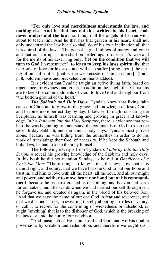"**For only love and mercifulness understands the law, and nothing else. And he that has not this written in his heart, shall never understand the law**, no: though all the angels of heaven went about to teach him. And he that has that graven in his heart, shall not only understand the law but also shall do of his own inclination all that is required of the law….The gospel is glad tidings of mercy and grace and that our corrupt nature shall be healed again for Christ's sake and for the merits of his deserving only: **Yet on the condition that we will turn to God** [in repentance], **to learn to keep his laws spiritually**, that is to say, of love for his sake, and will also suffer [bring about] the curing of our infirmities [that is, the weaknesses of human nature]" (Ibid., p. 8, bold emphasis and bracketed comments added).

 It is evident that Tyndale taught an active living faith, based on repentance, forgiveness and grace. In addition, he taught that Christians are to keep the commandments of God, to love God and neighbor from "the bottom ground of the heart."

 *The Sabbath and Holy Days***:** Tyndale knew that living faith caused a Christian to grow in the grace and knowledge of Jesus Christ and become more perfect day by day. Likewise, through translating the Scriptures, he himself was learning and growing in grace and knowledge. In his *Pathway Into the Holy Scripture*, there is evidence that perhaps he was beginning to understand the commands of God to keep the seventh day Sabbath, and the annual holy days. Tyndale mostly lived alone, because he was hiding from the authorities in order to do his work of translating; therefore, of necessity, if he kept the Sabbath and holy days, he had to keep them by himself.

 The following excerpts from Tyndale's *Pathway Into the Holy Scripture* reveal his growing knowledge of the Sabbath and holy days. In this book he did not mention Sunday, as he did in *Obedience of a Christian Man*: "These things to know: first, the law; how that it is natural right, and equity; that we have but one God to put our hope and trust in, and him to love with all the heart, all the soul, and all our might and power, and **neither to move heart nor hand but at his commandment**, because he has first created us of nothing, and heaven and earth for our sakes; and afterwards when we had marred our self through sin, he forgave us, and created us again, in the blood of his beloved Son: "And that we have the name of our one God in fear and reverence; and that we dishonor it not, in swearing thereby about light trifles or vanity, or call it to record for the confirming of wickedness or falsehood, or aught [anything] that is to the dishonor of God, which is the breaking of his laws, or unto the hurt of our neighbor:

 "And inasmuch as He is our Lord and God, and we His double possession, by creation and redemption, and therefore we ought (as I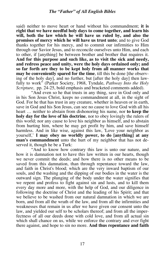said) neither to move heart or hand without his commandment; **it is right that we have needful holy days to come together, and learn his will, both the law which he will have us ruled by, and also the promises of mercy which he will have us trust unto**; and to give God thanks together for his mercy, and to commit our infirmities to Him through our Savior Jesus, and to reconcile ourselves unto Him, and each to other, if [anything] be between brother and brother that requires it. **And for this purpose and such like, as to visit the sick and needy, and redress peace and unity, were the holy days ordained only; and so far forth are they to be kept holy from all manner works that may be conveniently spared for the time**, till this be done [the observing of the holy day], and no further, but [after the holy day] then lawfully to work" (Parker Society, 1968, Tyndale, *Pathway Into the Holy Scripture*, pp. 24-25, bold emphasis and bracketed comments added).

 "And even so he that trusts in any thing, save in God only and in his Son Jesus Christ, keeps no commandment at all, in the sight of God. For he that has trust in any creature, whether in heaven or in earth, save in God and his Son Jesus, can see no cause to love God with all his heart … neither to abstain from dishonoring his name, nor **to keep the holy day for the love of his doctrine**, nor to obey lovingly the rulers of this world; nor any cause to love his neighbor as himself, and to abstain from hurting him, where he may get profit by him, and save himself harmless. And in like wise, against this law, 'Love your neighbor as yourself,' **I may obey no worldly power, to do [anything] at any man's commandment** unto the hurt of my neighbor that has not deserved it, though he be a Turk:

 "And to know how contrary this law is unto our nature, and how it is damnation not to have this law written in our hearts, though we never commit the deeds; and how there is no other means to be saved from this damnation, than through repentance toward the law, and faith in Christ's blood; which are the very inward baptism of our souls, and the washing and the dipping of our bodies in the water is the outward sign. The plunging of the body under the water signifies that we repent and profess to fight against sin and lusts, and to kill them every day more and more, with the help of God, and our diligence in following the doctrine of Christ and the leading of his Spirit; and that we believe to be washed from our natural damnation in which we are born, and from all the wrath of the law, and from all the infirmities and weaknesses that remain in us after we have given our consent unto the law, and yielded our self to be scholars thereof; and from all the imperfectness of all our deeds done with cold love, and from all actual sin which shall chance on us, while we enforce the contrary and ever fight there against, and hope to sin no more. **And thus repentance and faith**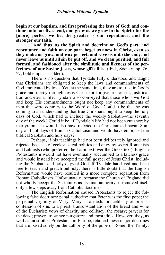**begin at our baptism, and first professing the laws of God; and continue unto our lives' end, and grow as we grow in the Spirit: for the [more] perfect we be, the greater is our repentance, and the stronger our faith**.

 "**And thus, as the Spirit and doctrine on God's part, and repentance and faith on our part, beget us anew in Christ, even so they make us grow, and wax perfect, and save us unto the end; and never leave us until all sin be put off, and we clean purified, and full formed, and fashioned after the similitude and likeness of the perfectness of our Savior Jesus, whose gift all is**" (Ibid., Society, pp. 26- 27, bold emphasis added).

 There is no question that Tyndale fully understood and taught that Christians are obligated to keep the laws and commandments of God, motivated by love. Yet, at the same time, they are to trust in God's grace and mercy through Jesus Christ for forgiveness of sin, justification and eternal life. Tyndale also conveyed that those who love God and keep His commandments ought not keep any commandments of men that were contrary to the Word of God. Could it be that he was coming to an understanding that true Christians ought to keep the holy days of God, which had to include the weekly Sabbath—the seventh day of the week? Could it be, if Tyndale's life had not been cut short by martyrdom, he would also have rejected the Christianized pagan Sunday and holidays of Roman Catholicism and would have embraced the biblical Sabbath and holy days?

 Perhaps, if his teachings had not been deliberately ignored and rejected because of ecclesiastical politics and envy by secret Romanists and Latinists (who preferred the Latin text over the Greek text), English Protestantism would not have eventually succumbed to a lawless grace and would instead have accepted the full gospel of Jesus Christ, including the Sabbath and holy days of God. If Tyndale had lived and been free to teach and preach publicly, there is little doubt that the English Reformation would have resulted in a more complete separation from Roman Catholicism. Unfortunately, because the Church of England did not wholly accept the Scriptures as its final authority, it removed itself only a few steps away from Catholic doctrines.

 The English Reformation caused Protestants to reject the following false doctrines: papal authority; that Peter was the first pope; the perpetual virginity of Mary; Mary as a mediator; celibacy of priests; confession of sins to a priest; transubstantiation of the bread and wine of the Eucharist; vows of chastity and celibacy, the rosary; prayers for the dead; prayers to saints; purgatory; and most idols. However, they, as well as most other Protestants in Europe, retained these major doctrines that are based solely on the authority of the pope of Rome: the Trinity;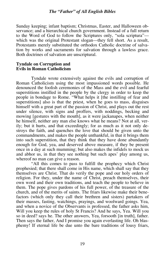Sunday keeping; infant baptism; Christmas, Easter, and Halloween observance; and a hierarchical church government. Instead of a full return to the Word of God to follow the Scriptures only, "sola scriptura" which was the original Protestant slogan—they fell short. As a result, Protestants merely substituted the orthodox Catholic doctrine of salvation by works and sacraments for salvation through a lawless grace. Both doctrines of salvation are unscriptural.

#### **Tyndale on Corruption and Evils in Roman Catholicism**

Tyndale wrote extensively against the evils and corruption of Roman Catholicism using the most impassioned words possible. He denounced the foolish ceremonies of the Mass and the evil and fearful superstitions instilled in the people by the clergy in order to keep the people in bondage to Rome. "What helps it [the instilling of fear and superstitions] also is that the priest, when he goes to mass, disguises himself with a great part of the passion of Christ, and plays out the rest under silence, with signs and proffers, with noddings, becking and mowing [gestures with the mouth], as it were jackanapes, when neither he himself, neither any man else knows what he means? Not at all, verily; but it hurts, and that exceedingly; for as much as it not only destroys the faith, and quenches the love that should be given unto the commandments, and makes the people unthankful, in that it brings them into such superstition, that they think that they have done abundantly enough for God, yea, and deserved above measure, if they be present once in a day at such mumming; but also makes the infidels to mock us and abhor us, in that they see nothing but such apes' play among us, whereof no man can give a reason.

 "All this comes to pass to fulfill the prophecy which Christ prophesied; that there shall come in His name, which shall say that they themselves are Christ. That do verily the pope and our holy orders of religion. For they, under the name of Christ, preach themselves, their own word and their own traditions, and teach the people to believe in them. The pope gives pardons of his full power, of the treasure of the church, and of the merits of saints. The friars likewise make their benefactors (which only they call their brethren and sisters) partakers of their masses, fasting, watchings, prayings, and woolward goings. Yea, and when a novice of the Observants is professed, the father asks him, Will you keep the rules of holy St Francis? And he says, Yea. Will you so in deed? says he. The other answers, Yea, forsooth [in truth], father. Then says the father, And I promise you again everlasting life. Oh blasphemy! If eternal life be due unto the bare traditions of lousy friars,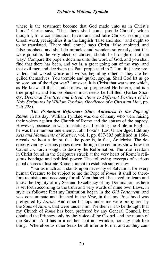where is the testament become that God made unto us in Christ's blood? Christ says, 'That there shall come pseudo-Christi'; which though I, for a consideration, have translated false Christs, keeping the Greek word, yet signifies it in the English 'false anointed,' and ought so to be translated. 'There shall come,' says Christ 'false anointed, and false prophets, and shall do miracles and wonders so greatly, that if it were possible, the very elect, or chosen, should be brought out of the way.' Compare the pope's doctrine unto the word of God, and you shall find that there has been, and yet is, a great going out of the way; and that evil men and deceivers (as Paul prophesied in 2 Tim. iii.) have prevailed, and waxed worse and worse, beguiling other as they are beguiled themselves. You tremble and quake, saying, Shall God let us go so sore out of the right way? I answer, It is Christ that warns us; which, as He knew all that should follow, so prophesied He before, and is a true prophet, and His prophecies must needs be fulfilled. (Parker Society, *Doctrinal Treatises and Introductions to Different Portions of the Holy Scriptures by William Tyndale, Obedience of a Christian Man*, pp. 226-228).

*The Protestant Reformers Show Antichrist Is the Pope of Rome***:** In his day, William Tyndale was one of many who were raising their voices against the Church of Rome and the abuses of the papacy. However, because he was translating and printing the Bible in English, he was their number one enemy. John Foxe's (Last Unabridged Edition) *Acts and Monuments of Martyrs*, vol. 1, pp. 887-893 published in 1684, reveals, without a doubt, that the pope is, in fact, Antichrist. The decrees given by various popes down through the centuries show how the Catholic Church sought to destroy the Reformation. The true freedom in Christ found in the Scriptures struck at the very heart of Rome's religious bondage and political power. The following excerpts of various papal decrees illustrate Rome's intent to establish supremacy:

 "For as much as it stands upon necessity of Salvation, for every human Creature to be subject to me the Pope of *Rome*, it shall be therefore requisite and necessary for all Men that will be saved, to learn and know the Dignity of my See and Excellency of my Domination, as here is set forth according to the truth and very words of mine own Laws, in style as follows: First my Institution began in the *Old Testament*, and was consummate and finished in the *New*, in that my Priesthood was prefigured by *Aaron*; And other bishops under me were prefigured by the Sons of *Aaron*, that were under him. Neither is it to be thought that my Church of *Rome* has been preferred by any General Council, but obtained the Primacy only by the Voice of the Gospel, and the mouth of the Savior. And has in it neither spot nor wrinkle, nor any such like thing. Wherefore as other Seats be all inferior to me, and as they can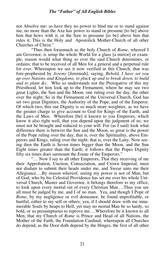not Absolve me: so have they no power to bind me or to stand against me, no more than the Axe has power to stand or presume [to be] above him that hews with it, or the Saw to presume [to be] above him that rules it. This is the Holy and Apostolick Mother-Church of all other Churches of Christ."

 "Thus then forasmuch as the holy Church of *Rome,* whereof I am Governor, is setup the whole World for a glass [a mirror] or example, reason would what thing so ever the said Church determines, or ordains; that to be received of all Men for a general and a perpetual rule for ever. Whereupon we see it now verified in this Church, that was fore-prophesied by *Jeremy* [Jeremiah], saying, *Behold, I have set you up over Nations and Kingdoms, to pluck up and to break down, to build and to plant &c.* Who so understands not the Prerogative of this my Priesthood, let him look up to the Firmament, where he may see two great Lights, the Sun and the Moon, one ruling over the day, the other over the night; So in the Firmament of the Universal Church, God has set two great Dignities, the Authority of the Pope, and of the Emperor. Of which two, this our Dignity is so much more weightier, as we have the greater charge to give account to God for Kings of the Earth, and the Laws of Men. Wherefore [be] it known to you Emperors, which know it also right well, that you depend upon the judgment of us; we must not be brought and reduced to your will. For (as I said) look what difference there is betwixt the Sun and the Moon, so great is the power of the Pope ruling over the day, that is, over the Spirituality, above Emperors and Kings, ruling over the night; that is, over the Laity. Now seeing then the Earth is Seven times bigger than the Moon, and the Sun Eight times greater than the Earth; it follows that the Popes Dignity fifty six times does surmount the Estate of the Emperors."

 "… Now I say to all other Emperors, That they receiving of me their Approbation, Unction, Consecration, and Crown Imperial, must not disdain to submit their heads under me, and Swear unto me their Allegiance….By reason whereof, seeing my power is not of Man, but of God, who by his Celestial Providence has set me over his whole Universal Church, Master and Governor, it belongs therefore to my office, to look upon every mortal sin of every Christian Man….Thus you see all must be judged by me, and I of no man. Yea, and though I Pope of *Rome*, by my negligence or evil demeanor, be found unprofitable, or hurtful, either to my self or others; yea, if I should draw with me innumerable Souls by heaps to Hell, yet may no mortal Man be so hardy, so bold, or so presumptuous to reprove me….Wherefore be it known to all Men, that my Church of *Rome* is Prince and Head of all Nations, the Mother of the Faith, the Foundation Cardinal, whereupon all Churches do depend, as the Door doth depend by the Hinges, the first of all other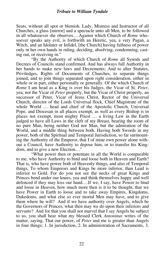Seats, without all spot or blemish. Lady, Mistress and Instructor of all Churches, a glass [mirror] and a spectacle unto all Men, to be followed in all whatsoever she observes….Against which Church of *Rome* whosoever speaks any evil, is forthwith an Heretic, yea, a very Pagan, a Witch, and an Idolater or Infidel, [the Church] having fullness of power only in her own hands in ruling, deciding, absolving, condemning, casting out, or receiving in."

 "By the Authority of which Church of *Rome* all Synods and Decrees of Councils stand confirmed. And has always full Authority in her hands to make new laws and Decrements; And to alter Statutes, Priviledges, Rights of Documents of Churches, to separate things joined, and to join things separated upon right consideration, either in whole or in part, either personally or generally. Of the which Church of *Rome* I am head as a King is over his Judges, the Vicar of St. *Peter*, yea, not the Vicar of *Peter* properly, but the Vicar of Christ properly, an successor of Peter, Vicar of Jesus Christ, Rector of the Universal Church, director of the Lords Universal flock, Chief Magistrate of the whole World … head and chief of the Apostolic Church, Universal Pope, and Diocesan in all places exempt, as well as every Bishop is in places not exempt, most mighty Priest … a living Law in the Earth judged to have all Laws in the cleft of my Breast, bearing the room of no pure Man, being neither God nor Man, but the admiration of the World, and a middle thing between both. Having both Swords in my power, both of the Spiritual and Temporal Jurisdiction, so far surmounting the Authority of the Emperor, that I of mine own power alone without a Council, have Authority to depose him, or to transfer his Kingdom, and to give a new Election…"

 "What power then or potentate in all the World is comparable to me, who have Authority to bind and loose both in Heaven and Earth? That is, who have power both of Heavenly things, and also of Temporal things, To whom Emperors and Kings be more inferior, than Lead is inferior to Gold. For do you not see the necks of great Kings and Princes bend under our knees, yea and think themselves happy and well defenced if they may kiss our hand.…If we, I say, have Power to bind and loose in Heaven, how much more then is it to be thought, that we have Power in Earth to loose and to take away Empires, Kingdoms, Dukedoms, and what else so ever mortal Men may have, and to give them where he will? And if we have authority over Angels, which be the Governors of Princes, what then may we do upon their inferiors and servants? And for that you shall not marvel that I say Angels be subject to us, you shall hear what my blessed Clerk *Antoninus* writes of the matter, saying, That our power, of *Peter* and me is greater than Angels in four things; 1. In jurisdiction, 2. In administration of Sacraments, 3.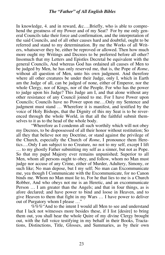In knowledge, 4. and in reward, &c....Briefly, who is able to comprehend the greatness of my Power and of my Seat? For by me only general Councils take their force and confirmation, and the interpretation of the said Councils, and of all other causes hard and doubtful, ought to be referred and stand to my determination. By me the Works of all Writers, whatsoever they be, either be reproved or allowed. Then how much more ought my Writings and Decrees to be preferred before all other? Insomuch that my Letters and Epistles Decretal be equivalent with the general Councils, And whereas God has ordained all causes of Men to be judged by Men, he has only reserved me, that is, the Pope of *Rome*, without all question of Men, unto his own judgment. And therefore where all other creatures be under their Judge, only I, which in Earth am the Judge of all, can be judged of none, either of Emperor, nor the whole Clergy, nor of Kings, nor of the People. For who has the power to judge upon his Judge? This Judge am I, and that alone without any other resistance of any Council joined to me. For I have Power upon Councils; Councils have no Power upon me….Only my Sentence and judgment must stand … Wherefore it is manifest, and testified by the voice of Holy Bishops, that the Dignity of this my Seat is to be reverenced through the whole World, in that all the faithful submit themselves to it as to the head of the whole body.

 "Wherefore as I condemn all such worthily which will not obey my Decrees, to be dispossessed of all their honor without restitution; So all they that believe not my Doctrine, or stand against the privilege of the Church, especially the Church of *Rome*, I pronounce them Heretics….Only I am subject to no Creature, no not to my self, except I lift … to my ghostly Father submitting my self as a sinner, but not as Pope. So that my papal Majesty ever remains unpunished; Superior to all Men, whom all persons ought to obey, and follow, whom no Man must judge nor accuse of any Crime, either of Murder, Adultery, Simony, or such like; No man depose, but I my self; No man can Excommunicate me, yea though I Communicate with the Excommunicate, for no Canon binds me. Whom no Man must lie to, For he that lies to me is a Church Robber, And who obeys not me is an Heretic, and an excommunicate Person … I am greater than the Angels; and that in four things, as is afore declared; and have power to bind and loose in Heaven, and to give Heaven to them that fight in my Wars … I have power to deliver out of Purgatory whom I please …"

 %%%"And to the intent I would all Men to see and understand that I lack not witnesses more besides these, if I list [desire] to bring them out, you shall hear the whole Quire of my divine Clergy brought out, with the full voice testifying in my behalf in their Books, Tractations, Distinctions, Title, Glosses, and Summaries, as by their own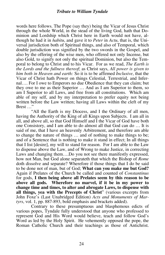words here follows. The Pope (say they) being the Vicar of Jesus Christ through the whole World, in the stead of the living God, hath that Dominion and Lordship which Christ here in Earth would not have, although he had it in *habitu*, and gave it to *Peter* in *Actu*, that is, the Universal jurisdiction both of Spiritual things, and also of Temporal, which double jurisdiction was signified by the two swords in the Gospel, and also by the offering of the wise men, who offered not only Incense, but also Gold, to signify not only the spiritual Dominion, but also the Temporal to belong to Christ and to his Vicar. For as we read, *The Earth is the Lords and the fullness thereof*; as Christ says, *All power is given to him both in Heaven and earth:* So it is to be affirmed *Inclusive*, that the Vicar of Christ hath Power on things Celestial, Terrestrial, and Infernal…. For I owe to Emperors no due Obedience that they can claim; but they owe to me as their Superior … And as I am Superior to them, so am I Superior to all Laws, and free from all constitutions. Which am able of my self, and by my interpretation to prefer equity not being written before the Law written; having all Laws within the cleft of my Brest …"

 "All the Earth is my Diocess, and I the Ordinary of all men, having the Authority of the King of all Kings upon Subjects. I am all in all, and above all, so that God Himself and I the Vicar of God have both one Consistory, and I am able to do almost all that God can do … It is said of me, that I have an heavenly Arbitrement, and therefore am able to change the nature of things … and of nothing to make things to be; and of a Sentence that is nothing to make it stand in effect; In all things that I list [desire], my will to stand for reason. For I am able to the Law to dispense above the Law, and of Wrong to make Justice, in correcting Laws and changing them….Do you not see there manifestly expressed, how not Man, but God alone separateth that which the Bishop of *Rome* doth dissolve and separate? Wherefore if those things that I do be said to be done not of man, but of God; **What can you make me but God?** Again if Prelates of the Church be called and counted of *Constantinus* for gods, **I then being above all Prelates seem by this reason to be above all gods. Wherefore no marvel, if it be in my power to change time and times, to alter and abrogate Laws, to dispense with all things, yea with the Precepts of Christ**" (various excerpts from John Foxe's (Last Unabridged Edition) *Acts and Monuments of Martyrs*, vol. 1, pp. 887-893, bold emphasis and brackets added).

 Contrary to these presumptuous and blasphemous edicts of various popes, Tyndale fully understood that anyone who professed to represent God and His Word would believe, teach and follow God's Word as led by the Holy Spirit. He vehemently opposed the pope, the Roman Catholic Church and their teachings as those of Antichrist.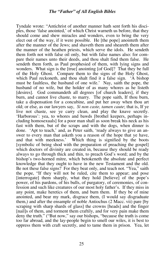Tyndale wrote: "Antichrist of another manner hath sent forth his disciples, those 'false anointed,' of which Christ warneth us before, that they should come and shew miracles and wonders, even to bring the very elect out of the way, if it were possible. He [the pope] anointeth them after the manner of the Jews; and shaveth them and sheareth them after the manner of the heathen priests, which serve the idols. He sendeth them forth not with false oil only, but with false names also: for compare their names unto their deeds, and thou shalt find them false. He sendeth them forth, as Paul prophesied of them, with lying signs and wonders. What sign is the [true] anointing [of God]? That they be full of the Holy Ghost. Compare them to the signs of the Holy Ghost, which Paul reckoneth, and thou shalt find it a false sign. 'A bishop must be faultless, the husband of one wife.' Nay, saith the pope, the husband of no wife, but the holder of as many whores as he listeth [desires]. God commandeth all degrees [of church leaders], if they burn, and cannot live chaste, to marry. The pope saith, If thou burn, take a dispensation for a concubine, and put her away when thou art old; or else, as our lawyers say, *Si non caste, tamen caute*; that is, If ye live not chaste, see ye carry clean, and play the knave secretly. 'Harborous': yea, to whores and bawds [brothel keepers, perhaps including homosexuals] for a poor man shall as soon break his neck as his fast with them, but of the scraps and with the dogs, when dinner is done. 'Apt to teach,' and, as Peter saith, 'ready always to give an answer to every man that asketh you a reason of the hope that ye have, and that with meekness.' Which thing is signified by the boots [symbolic of being shod with the preparation of preaching the gospel] which doctors of divinity are created in, because they should be ready always to go through thick and thin, to preach God's word; and by the bishop's two-horned mitre, which betokeneth the absolute and perfect knowledge that they ought to have in the new Testament and the old. Be not these false signs? For they beat only, and teach not. "Yea," saith the pope, "If they will not be ruled, cite them to appear; and pose [interrogate] them sharply, what they hold [believe] of the pope's power, of his pardons, of his bulls, of purgatory, of ceremonies, of confession and such like creatures of our most holy father's. If they miss in any point, make heretics of them, and burn them. If they be of mine anointed, and bear my mark, disgrace them, (I would say disgraduate them,) and after the ensample of noble Antiochus (2 Macc. vii) pare [by scraping with sharp shards of glass] the crowns [heads] and the finger [nail]s of them, and torment them craftily, and for very pain make them deny the truth." ("But now," say our bishops, "because the truth is come too far abroad, and the lay-people begin to smell our wiles, it is best to oppress them with craft secretly, and to tame them in prison. Yea, let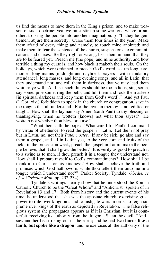us find the means to have them in the King's prison, and to make treason of such doctrine: yea, we must stir up some war, one where or another, to bring the people into another imagination.") "If they be gentlemen, abjure them secretly. Curse them four times in the year. Make them afraid of every thing; and namely, to touch mine anointed; and make them to fear the sentence of the church, suspensions, excommunications and curses. Be they right or wrong, bear them in hand that they are to be feared yet. Preach me [the pope] and mine authority, and how terrible a thing my curse is, and how black it maketh their souls. On the holidays, which were ordained to preach God's word, set up long ceremonies, long matins [midnight and daybreak prayers—with mandatory attendance], long masses, and long evening songs, and all in Latin, that they understand not; and roll them in darkness, that ye may lead them whither ye will. And lest such things should be too tedious, sing some, say some, pipe some, ring the bells, and lull them and rock them asleep [in spiritual darkness and keep them from God's word]." And yet Paul (1 Cor. xiv.) forbiddeth to speak in the church or congregation, save in the tongue that all understand. For the layman thereby is not edified or taught. How shall the layman say Amen (saith Paul) to thy blessing or thanksgiving, when he wotteth [knows] not what thou sayest? He wotteth not whether thou bless or curse."

 "What then saith the pope? 'What care I for Paul? I command by virtue of obedience, to read the gospel in Latin. Let them not pray but in Latin, no, not their *Pater noster.* If any be sick, go also and say them a gospel, and all in Latin: yea, to the very corn and fruits of the field, in the procession week, preach the gospel in Latin: make the people believe, that it shall grow the better.' It is verily as good to preach it to a swine as to men, if thou preach it in a tongue they understand not. How shall I prepare myself to God's commandments? How shall I be thankful to Christ for his kindness? How shall I believe the truth and promises which God hath sworn, while thou tellest them unto me in a tongue which I understand not?" (Parker Society, Tyndale, *Obedience of a Christian Man*, pp. 232-234).

 Tyndale's writings clearly show that he understood the Roman Catholic Church to be the "Great Whore" and "Antichrist" spoken of in Revelation 13 and 17. Both from history and the current events of his time, he understood that she was the apostate church, exercising great power to rule over kingdoms and to instigate wars in order to reign supreme over kings of the earth as depicted in Revelation. The false religious system she propagates appears as if it is Christian, but it is counterfeit, receiving its authority from the dragon—Satan the devil: "And I saw another beast rising out of the earth; and he had **two horns like a lamb**, **but spoke like a dragon**; and he exercises all the authority of the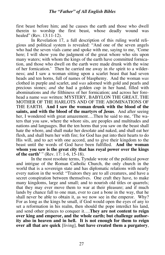first beast before him; and he causes the earth and those who dwell therein to worship the first beast, whose deadly wound was healed" (Rev. 13:11-12).

 In Revelation 17, a full description of this ruling world religious and political system is revealed: "And one of the seven angels who had the seven vials came and spoke with me, saying to me, 'Come here; I will show you the judgment of the great whore who sits upon many waters; with whom the kings of the earth have committed fornication, and those who dwell on the earth were made drunk with the wine of her fornication.' Then he carried me away in *the* spirit to a wilderness; and I saw a woman sitting upon a scarlet beast that had seven heads and ten horns, full of names of blasphemy. And the woman *was* clothed in purple and scarlet, and *was* adorned with gold and pearls and precious stones; *and* she had a golden cup in her hand, filled with abominations and *the* filthiness of her fornication; and across her forehead a name *was* written: MYSTERY, BABYLON THE GREAT, THE MOTHER OF THE HARLOTS AND OF THE ABOMINATIONS OF THE EARTH. **And I saw the woman drunk with the blood of the saints, and with the blood of the martyrs of Jesus**. And after seeing her, I wondered with great amazement….Then he said to me, 'The waters that you saw, where the whore sits, are peoples and multitudes and nations and languages. But the ten horns that you saw on the beast shall hate the whore, and shall make her desolate and naked, and shall eat her flesh, and shall burn her with fire; for God has put into their hearts to do His will, and to act with one accord, and to give their kingdom to the beast until the words of God have been fulfilled. **And the woman whom you saw is the great city that has royal power over the kings of the earth'** " (Rev. 17: 1-6, 15-18).

 In the most resolute terms, Tyndale wrote of the political power and intrigue of the Roman Catholic Church, the only church in the world that is a sovereign state and has diplomatic relations with nearly every nation in the world: "Traitors they are to all creatures, and have a secret conspiration between themselves. One craft they have, to make many kingdoms, large and small; and to nourish old titles or quarrels; that they may ever move them to war at their pleasure; and if much lands by chance fall to one man, ever to cast a bone in the way, that he shall never be able to obtain it, as we now see in the emperor. Why? For as long as the kings be small, if God would open the eyes of any to set a reformation in his realm, then should the pope interdict his land, and send other princes to conquer it….**They are not content to reign over king and emperor, and the whole earth; but challenge authority also in heaven and in hell. It is not enough for them to reign over all that are quick** [living], **but have created them a purgatory**,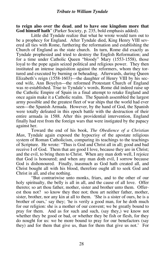**to reign also over the dead**, **and to have one kingdom more that God himself hath**" (Parker Society, p. 235, bold emphasis added).

 Little did Tyndale realize that what he wrote would turn out to be a prophecy for England. After Tyndale died, King Henry VIII severed all ties with Rome, furthering the reformation and establishing the Church of England as the state church. In turn, Rome did exactly as Tyndale prophesied and tried to destroy the English Reformation; and for a time under Catholic Queen "bloody" Mary (1553-1558), those loyal to the pope again seized political and religious power. They then instituted an intense inquisition against the reformers, whom they tortured and executed by burning or beheading. Afterwards, during Queen Elizabeth's reign (1558-1603)—the daughter of Henry VIII by his second wife, Ann Boyelyn—the reformed Protestant Church of England was re-established. True to Tyndale's words, Rome did indeed raise up the Catholic Empire of Spain in a final attempt to retake England and once again make it a Catholic realm. The Spanish assembled the largest army possible and the greatest fleet of war ships that the world had ever seen—the Spanish Armada. However, by the hand of God, the Spanish were totally defeated in this epoch battle with the destruction of their entire armada in 1588. After this providential intervention, England finally had rest from the foreign wars that were instigated by the papacy against her.

 Toward the end of his book, *The Obedience of a Christian Man*, Tyndale again exposed the hypocrisy of the apostate religious system of Roman Catholicism, comparing its teachings to the teachings of Scripture. He wrote: "Thus is God and Christ all in all; good and bad receive I of God. Them that are good I love, because they are in Christ; and the evil, to bring them to Christ. When any man doth well, I rejoice that God is honoured; and when any man doth evil, I sorrow because God is dishonoured. Finally, inasmuch as God hath created all, and Christ bought all with his blood, therefore ought all to seek God and Christ in all, and else nothing.

 "But contrariwise unto monks, friars, and to the other of our holy spiritualty, the belly is all in all, and the cause of all love. Offer thereto; so art thou father, mother, sister and brother unto them. Offerest thou not? so know they thee not; thou art neither father, mother, sister, brother, nor any kin at all to them. 'She is a sister of ours, he is a brother of ours,' say they; 'he is verily a good man, for he doth much for our religion: she is a mother of our convent; we be greatly bound to pray for them. And as for such and such, (say they,) we know not whether they be good or bad, or whether they be fish or flesh, for they do nought for us: we be more bound to pray for our benefactors (say they) and for them that give us, than for them that give us not.' For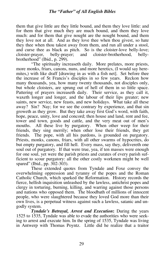them that give little are they little bound, and them they love little: and for them that give much they are much bound, and them they love much: and for them that give nought are the nought bound, and them they love not at all. And as they love thee when thou givest, so hate they thee when thou takest away from them, and run all under a stool, and curse thee as black as pitch. So is the cloister-love belly-love; cloister-prayer, belly-prayer; and cloister-brotherhood, bellybrotherhood" (Ibid., p. 299).

 "The spiritualty increaseth daily. More prelates, more priests, more monks, friars, canons, nuns, and more heretics, (I would say heremites,) with like draff [drawing in as with a fish net]. Set before thee the increase of St Francis's disciples in so few years. Reckon how many thousands, yea, how many twenty thousands, not disciples only, but whole cloisters, are sprung out of hell of them in so little space. Pattering of prayers increaseth daily. Their service, as they call it, waxeth longer and longer, and the labour of their lips greater; new saints, new service, new feasts, and new holidays. What take all these away? Sin? Nay; for we see the contrary by experience, and that sin groweth as they grow. But they take away first God's word, with faith, hope, peace, unity, love and concord; then house and land, rent and fee, tower and town, goods and cattle, and the very meat out of men's mouths. All these live by purgatory. When other weep for their friends, they sing merrily; when other lose their friends, they get friends. The pope, with all his pardons, is grounded on purgatory. Priests, monks, canons, friars, with all other swarms of hypocrites, do but empty purgatory, and fill hell. Every mass, say they, delivereth one soul out of purgatory. If that were true, yea, if ten masses were enough for one soul, yet were the parish priests and curates of every parish sufficient to scour purgatory: all the other costly workmen might be well spared" (Ibid., pp. 302-303).

 These extended quotes from Tyndale and Foxe convey the overwhelming oppression and tyranny of the popes and the Roman Catholic Church, which sparked the Reformation. History records the fierce, hellish inquisition unleashed by the lawless, antichrist popes and clergy in torturing, burning, killing, and warring against those persons and nations who opposed them. The bloodbath of millions of innocent people, who were slaughtered because they loved God more than their own lives, is a perpetual witness against such a lawless, satanic and ungodly system.

*Tyndale's Betrayal, Arrest and Execution***:** During the years 1525 to 1535, Tyndale was able to evade the authorities who were seeking to arrest and execute him. In the spring of 1535, Tyndale was living in Antwerp with Thomas Poyntz. Little did he realize that a traitor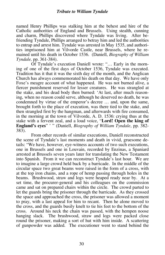named Henry Phillips was stalking him at the behest and hire of the Catholic authorities of England and Brussels. Using stealth, cunning and charm, Phillips discovered where Tyndale was living. After befriending Tyndale, Phillips arranged to betray him and led the authorities to entrap and arrest him. Tyndale was arrested in May 1535, and authorities imprisoned him at Vilvorde Castle, near Brussels, where he remained until his death in October 1536. (Daniell, *Biography of William Tyndale,* pp. 361-384).

 Of Tyndale's execution Daniell wrote: "… Early in the morning of one of the first days of October 1536, Tyndale was executed. Tradition has it that it was the sixth day of the month, and the Anglican Church has always commemorated his death on that day. We have only Foxe's meagre account of what happened. He was not burned alive, a fiercer punishment reserved for lesser creatures. He was strangled at the stake, and his dead body then burned: 'At last, after much reasoning, when no reason could serve, although he deserved no death, he was condemned by virtue of the emperor's decree … and, upon the same, brought forth to the place of execution, was there tied to the stake, and then strangled first by the hangman, and afterwards with fire consumed, in the morning at the town of Vilvorde, A. D. 1536: crying thus at the stake with a fervent zeal, and a loud voice, "**Lord! Open the king of England's eyes**" ' " (Daniell, *Biography of William Tyndale*, pp. 382- 383).

 From other records of similar executions, Daniell reconstructed the scene of Tyndale's last moments and death in vivid, gruesome details: "We have, however, eye-witness accounts of two such executions, one in Brussels and one in Louvain, recorded by Enzinas, a Spaniard arrested at Brussels seven years later for translating the New Testament into Spanish. From it we can reconstruct Tyndale's last hour. We are to imagine a large crowd held back by a barricade. In the middle of the circular space two great beams were raised in the form of a cross, with at the top iron chains, and a rope of hemp passing through holes in the beams. Brushwood, straw and logs were heaped ready near by. At a set time, the procurer-general and his colleagues on the commission came and sat on prepared chairs within the circle. The crowd parted to let the guards bring the prisoner through the barricade. As they crossed the space and approached the cross, the prisoner was allowed a moment to pray, with a last appeal for him to recant. Then he alone moved to the cross, and the guards busily knelt to tie his feet to the bottom of the cross. Around his neck the chain was passed, with the hempen noose hanging slack. The brushwood, straw and logs were packed close round the prisoner, making a sort of hut with him inside. A scattering of gunpowder was added. The executioner went to stand behind the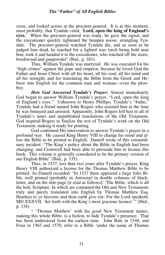cross, and looked across at the procurer-general. It is at this moment, most probably, that Tyndale cried, '**Lord, open the king of England's eyes.**' When the procurer-general was ready, he gave the signal, and the executioner quickly tightened the hempen noose, strangling Tyndale. The procurer-general watched Tyndale die, and as soon as he judged him dead, he reached for a lighted wax torch being held near him, took it and handed it to the executioner, who touched off the straw, brushwood and gunpowder" (Ibid., p. 383).

 Thus, William Tyndale was martyred. He was executed for his "high crimes" against the pope and emperor, because he loved God the Father and Jesus Christ with all his heart, all his soul, all his mind and all his strength; and for translating the Bible from the Greek and Hebrew into English for the common man and woman—even the plowboy.

*How God Answered Tyndale's Prayer***:** Almost immediately God began to answer William Tyndale's prayer, "Lord, open the king of England's eyes." Unknown to Henry Phillips, Tyndale's "Judas," Tyndale had a friend named John Rogers who assisted him at the time he was betrayed and arrested. Apparently, John Rogers fell heir to all of Tyndale's notes and unpublished translations of the Old Testament. God inspired Rogers to finalize the rest of Tyndale's work on the Old Testament, making it ready for printing.

 God continued His intervention to answer Tyndale's prayer in a profound way. He caused King Henry VIII to change his mind and allow the Bible to be printed in English. Daniell wrote of this extraordinary incident: "The King's policy about the Bible in English had been changing, and Cromwell had been able to persuade him to license this book. This volume is generally considered to be the primary version of our English Bible" (Ibid., p. 335).

 Thus, in 1537, less than two years after Tyndale's prayer, King Henry VIII authorized a license for the Thomas Matthew Bible to be printed. As Daniell recorded: "In 1537 there appeared a large folio Bible, well printed (probably in Antwerp) in double columns of blackletter, and on the title-page [it read as follows]: 'The Bible, which is all the holy Scripture: In which are contained the Old and New Testaments truly and purely translated into English by Thomas Matthew Esq. Hearken to ye heavens and thou earth give ear: For the Lord speaketh. MD XXXVII. Set forth with the King's most gracious licence' " (Ibid., p. 334).

Thomas Matthew' with his good New Testament names, making this whole Bible, is a fiction, to hide Tyndale's presence. That has been understood from the earliest time. John Bale in 1548, and Foxe in 1563 and 1570, refer to a Bible 'under the name of Thomas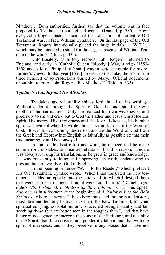Matthew'. Both authorities, further, say that the volume was in fact prepared by Tyndale's friend John Rogers" (Daniell, p. 335). However, John Rogers made it clear that the translation of the entire Old Testament was, in fact, William Tyndale's. On the last page of the Old Testament, Rogers intentionally placed the huge initials, " 'W.T.'… which may be intended to stand for the larger presence of William Tyndale in the whole" (Ibid., p. 335).

 Unfortunately, as history records, John Rogers "returned to England, and early in [Catholic Queen "bloody"] Mary's reign [1553- 1558 and wife of Philip II of Spain] was in serious trouble for his reformer's views. In that year [1553] he went to the stake, the first of the three hundred or so Protestants burned by Mary. Official documents about him refer to 'John Rogers alias Matthew' " (Ibid., p. 335).

## *Tyndale's Humility and His Mistakes*

 Tyndale's godly humility shines forth in all of his writings. Without a doubt, through the Spirit of God, he understood the evil depths of human nature. Daily, he realized his own weaknesses and proclivity to sin and cried out to God the Father and Jesus Christ for His Spirit, His mercy, His forgiveness and His love. Likewise, his humble spirit was evident when he wrote about his translations of the Word of God. It was his consuming desire to translate the Word of God from the Greek and Hebrew into English as faithfully as possible so that their true meaning would be conveyed.

 In spite of his best effort and work, he realized that he made some errors, mistakes, or misinterpretations. For this reason, Tyndale was always revising his translations as he grew in grace and knowledge. He was constantly refining and improving his work, endeavoring to present the pure words of God in English.

 In the opening sentence "W. T. to the Reader," which prefaced His Old Testament, Tyndale wrote, "When I had translated the new testament, I added an epistle unto the latter end, in which I desired them that were learned to amend if ought were found amiss" (Daniell, *Tyndale's Old Testament, a Modern Spelling Edition*, p. 1). This appeal also occurs in a footnote at the beginning of *A Pathway Into the Holy Scripture*, where he wrote: "I have here translated, brethren and sisters, most dear and tenderly beloved in Christ, the New Testament, for your spiritual edifying, consolation, and solace; exhorting instantly and beseeching those that are better seen in the tongues than I, and that have better gifts of grace, to interpret the sense of the Scripture, and meaning of the Spirit, than I, to consider and ponder my labour, and that with the spirit of meekness; and if they perceive in any places that I have not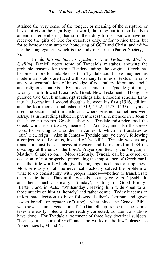attained the very sense of the tongue, or meaning of the scripture, or have not given the right English word, that they put to their hands to amend it, remembering that so is their duty to do. For we have not received the gifts of God for ourselves only, or for to hide them; but for to bestow them unto the honouring of GOD and Christ, and edifying the congregation, which is the body of Christ" (Parker Society, p. 7).

 In his *Introduction to Tyndale's New Testament, Modern Spelling*, Daniell notes some of Tyndale's mistakes, showing the probable reasons for them: "Understanding the original Greek has become a more formidable task than Tyndale could have imagined, as modern translators are faced with so many families of textual variants and vast accumulations of knowledge of vocabulary, idiom and social and religious contexts. By modern standards, Tyndale got things wrong. He followed Erasmus's Greek New Testament. Though he pursued true Greek manuscript readings like a modern scholar, Erasmus had occasional second thoughts between his first (1516) edition, and the four more he published (1519, 1522, 1527, 1535). Tyndale used the second and third editions, where Erasmus sometimes went astray, as in including (albeit in parentheses) the sentences in 1 John 5 that have no proper Greek authority. Tyndale misunderstood the Greek word asson (*asson*, 'nearer') in Acts 27, and also the Greek word for serving as a soldier in James 4, which he translates as 'rain' (i.e., reign). Also in James 4 Tyndale has 'ye envy', following a conjecture of Erasmus, instead of 'ye kill'. Tyndale was, as any translator must be, an incessant reviser, and he restored in 1534 the doxology at the end of the Lord's Prayer (omitted by the Vulgate) in Matthew 6; and so on…. More seriously, Tyndale can be accused, on occasion, of not properly appreciating the importance of Greek particles, the little words which give the language its character suppleness. Most seriously of all, he never satisfactorily solved the problem of what to do consistently with proper names—whether to transliterate or translate them. Thus in the gospels he can give 'Sabot' (Sabbath) and then, anachronistically, 'Sunday', leading to 'Good Friday', 'Easter', and in Acts, 'Whitsunday', leaving him wide open to all those attacks on him as 'homely' and rather comic. Today it seems an unfortunate decision to have followed Luther's German and given 'sweet bread' for  $a\zeta u\cos(\alpha\zeta u)\cos(\beta\zeta)$  what, since the Geneva Bible, we know as 'unleavened bread' " (Daniell, pp. xx-xxi). These mistakes are easily noted and are readily corrected, as later translations have done. For Tyndale's treatment of three key doctrinal subjects, "born again," "born of God" and "the works of the law" please see Appendices L, M and N.